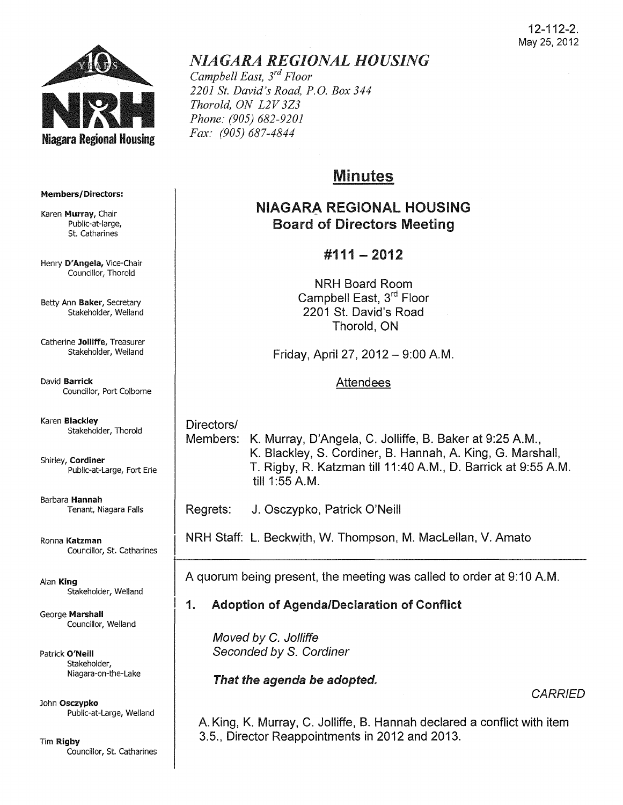

# *NIAGARA REGIONAL HOUSING*

*Campbell East, 3rd Floor 2201 St. David's Road, P.G. Box 344 Thorold, ON L2V 3Z3 Phone: (905) 682-9201 Fax: (905) 687-4844* 

# Minutes

# NIAGARA REGIONAL HOUSING Board of Directors Meeting

# #111 - 2012

NRH Board Room Campbell East, 3rd Floor 2201 St. David's Road Thorold, ON

Friday, April 27, 2012 - 9:00 AM.

# Attendees

Directors/ Members: K. Murray, D'Angela, C. Jolliffe, B. Baker at 9:25 A.M., K. Blackley, S. Cordiner, B. Hannah, A. King, G. Marshall, T. Rigby, R. Katzman till 11 :40 AM., D. Barrick at 9:55 AM. till 1 :55 AM.

Regrets: J. Osczypko, Patrick O'Neill

NRH Staff: L. Beckwith, W. Thompson, M. Maclellan, V. Amato

A quorum being present, the meeting was called to order at 9:10 AM.

# 1. Adoption of Agenda/Declaration of Conflict

Moved by C. Jolliffe Seconded by S. Cordiner

That the agenda be adopted.

**CARRIED** 

A King, K. Murray, C. Jolliffe, B. Hannah declared a conflict with item 3.5., Director Reappointments in 2012 and 2013.

#### Members/ Directors:

Karen Murray, Chair Public-at-Iarge, St. Catharines

Henry D'Angela, Vice-Chair Councillor, Thorold

Betty Ann Baker, Secretary Stakeholder, Weiland

Catherine Jolliffe, Treasurer Stakeholder, Weiland

David Barrick Councillor, Port Colborne

Karen Blackley Stakeholder, Thorold

Shirley, Cordiner Public-at-Large, Fort Erie

Barbara Hannah Tenant, Niagara Falls

Ronna Katzman Councillor, St. Catharines

Alan King Stakeholder, Weiland

George Marshall Councillor, Weiland

Patrick O'Neill Stakeholder, Niagara-on-the-Lake

John Osczypko Public-at-Large, Weiland

Tim Rigby Councillor, St. Catharines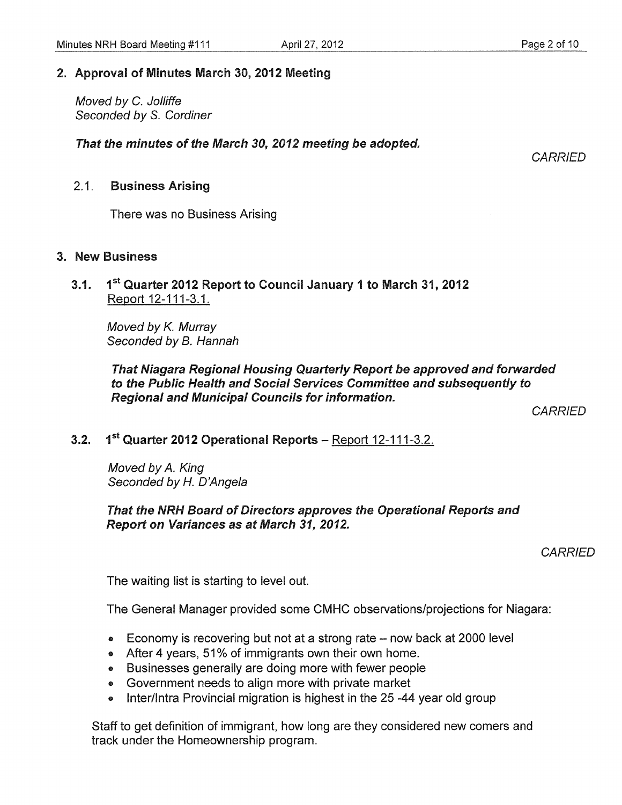## 2. Approval of Minutes March 30, 2012 Meeting

Moved by C. Jolliffe Seconded by S. Cordiner

That the minutes of the March 30, 2012 meeting be adopted.

**CARRIED** 

#### 2.1. Business Arising

There was no Business Arising

#### 3. New Business

3.1. 1<sup>st</sup> Quarter 2012 Report to Council January 1 to March 31, 2012 Report 12-111-3.1.

Moved by K. Murray Seconded by B. Hannah

That Niagara Regional Housing Quarterly Report be approved and forwarded to the Public Health and Social Services Committee and subsequently to Regional and Municipal Councils for information.

**CARRIED** 

# 3.2.  $1^{st}$  Quarter 2012 Operational Reports - Report 12-111-3.2.

Moved by A. King Seconded by *H.* D'Angela

#### That the NRH Board of Directors approves the Operational Reports and **Report on Variances as at March 31, 2012.**

**CARRIED** 

The waiting list is starting to level out.

The General Manager provided some CMHC observations/projections for Niagara:

- Economy is recovering but not at a strong rate  $-$  now back at 2000 level
- After 4 years, 51% of immigrants own their own home.
- Businesses generally are doing more with fewer people
- Government needs to align more with private market
- Inter/Intra Provincial migration is highest in the 25-44 year old group

Staff to get definition of immigrant, how long are they considered new comers and track under the Homeownership program.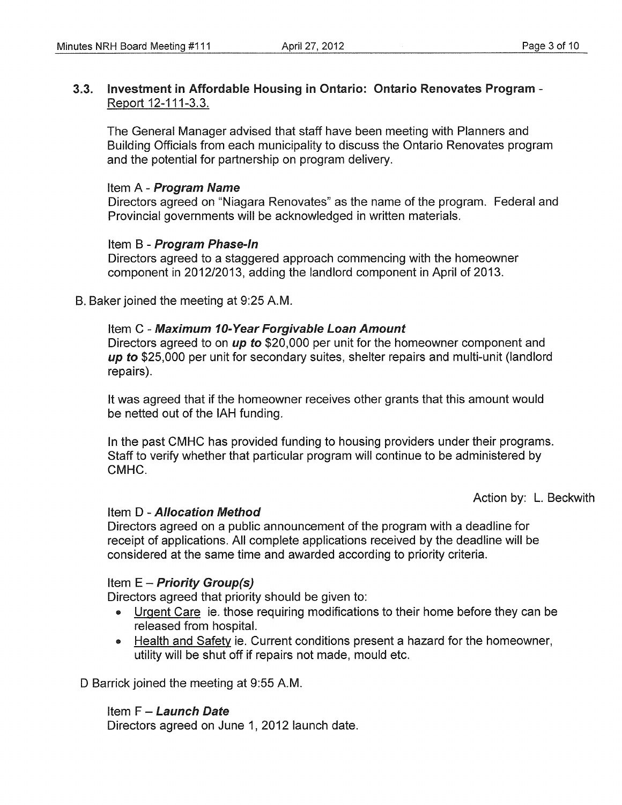## 3.3. Investment in Affordable Housing in Ontario: Ontario Renovates Program - Report 12-111-3.3.

The General Manager advised that staff have been meeting with Planners and Building Officials from each municipality to discuss the Ontario Renovates program and the potential for partnership on program delivery.

#### Item A - Program Name

Directors agreed on "Niagara Renovates" as the name of the program. Federal and Provincial governments will be acknowledged in written materials.

## Item B - Program Phase-In

Directors agreed to a staggered approach commencing with the homeowner component in 2012/2013, adding the landlord component in April of 2013.

B. Baker joined the meeting at 9:25 A.M.

#### Item C - Maximum 10-Year Forgivable Loan Amount

Directors agreed to on up to \$20,000 per unit for the homeowner component and up to \$25,000 per unit for secondary suites, shelter repairs and multi-unit (landlord repairs).

It was agreed that if the homeowner receives other grants that this amount would be netted out of the IAH funding.

In the past CMHC has provided funding to housing providers under their programs. Staff to verify whether that particular program will continue to be administered by CMHC.

Action by: L. Beckwith

## Item D - Allocation Method

Directors agreed on a public announcement of the program with a deadline for receipt of applications. All complete applications received by the deadline will be considered at the same time and awarded according to priority criteria.

## Item  $E$  – Priority Group(s)

Directors agreed that priority should be given to:

- Urgent Care ie, those requiring modifications to their home before they can be released from hospital.
- Health and Safety ie. Current conditions present a hazard for the homeowner, utility will be shut off if repairs not made, mould etc.

D Barrick joined the meeting at 9:55 A.M.

## Item  $F -$  Launch Date

Directors agreed on June 1, 2012 launch date.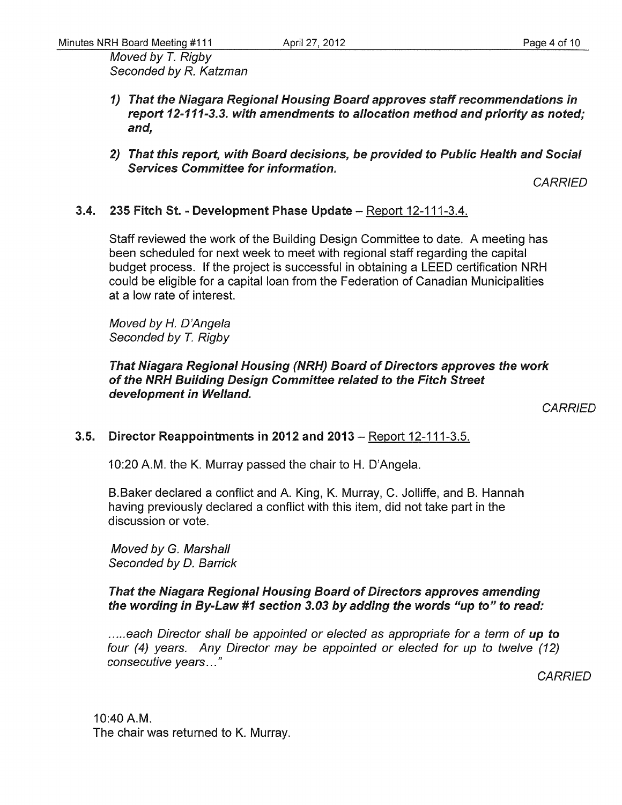Moved by T. Rigby Seconded by R. Katzman

- 1) That the Niagara Regional Housing Board approves staff recommendations in report 12-111-3.3. with amendments to allocation method and priority as noted; and,
- *2)* That this report, with Board decisions, be provided to Public Health and Social Services Committee for information.

**CARRIED** 

## 3.4. 235 Fitch St. - Development Phase Update - Report 12-111-3.4.

Staff reviewed the work of the Building Design Committee to date. A meeting has been scheduled for next week to meet with regional staff regarding the capital budget process. If the project is successful in obtaining a LEED certification NRH could be eligible for a capital loan from the Federation of Canadian Municipalities at a low rate of interest.

Moved by *H.* D'Angela Seconded by T. Rigby

That Niagara Regional Housing (NRH) Board of Directors approves the work of the NRH Building Design Committee related to the Fitch Street development in Welland.

**CARRIED** 

# 3.5. Director Reappointments in 2012 and 2013 – Report 12-111-3.5.

10:20 A.M. the K. Murray passed the chair to H. D'Angela.

B.Baker declared a conflict and A. King, K. Murray, C. Jolliffe, and B. Hannah having previously declared a conflict with this item, did not take part in the discussion or vote.

Moved by G. Marshall Seconded by D. Barrick

## That the Niagara Regional Housing Board of Directors approves amending the wording in By-Law #1 section *3.03* by adding the words "up to" to read:

..... each Director shall be appointed or elected as appropriate for a term of up to four (4) years. Any Director may be appointed or elected for up to twelve (12) consecutive years ... "

**CARRIED** 

10:40 A.M. The chair was returned to K. Murray.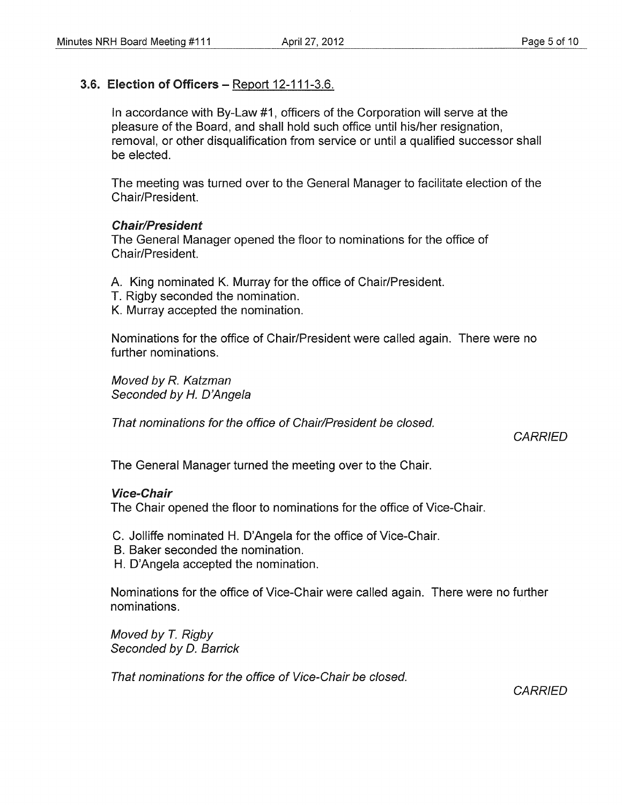## 3.6. Election of Officers - Report 12-111-3.6.

In accordance with By-Law #1, officers of the Corporation will serve at the pleasure of the Board, and shall hold such office until his/her resignation, removal, or other disqualification from service or until a qualified successor shall be elected.

The meeting was turned over to the General Manager to facilitate election of the Chair/President.

#### Chair/President

The General Manager opened the floor to nominations for the office of Chair/President.

- A. King nominated K. Murray for the office of Chair/President.
- T. Rigby seconded the nomination.
- K. Murray accepted the nomination.

Nominations for the office of Chair/President were called again. There were no further nominations.

Moved by R. Katzman Seconded by H. D'Angela

That nominations for the office of Chair/President be closed.

**CARRIED** 

The General Manager turned the meeting over to the Chair.

#### Vice-Chair

The Chair opened the floor to nominations for the office of Vice-Chair.

C. Jolliffe nominated H. O'Angela for the office of Vice-Chair.

- B. Baker seconded the nomination.
- H. D'Angela accepted the nomination.

Nominations for the office of Vice-Chair were called again. There were no further nominations.

Moved by *T.* Rigby Seconded by D. Barrick

That nominations for the office of Vice-Chair be closed.

**CARRIED**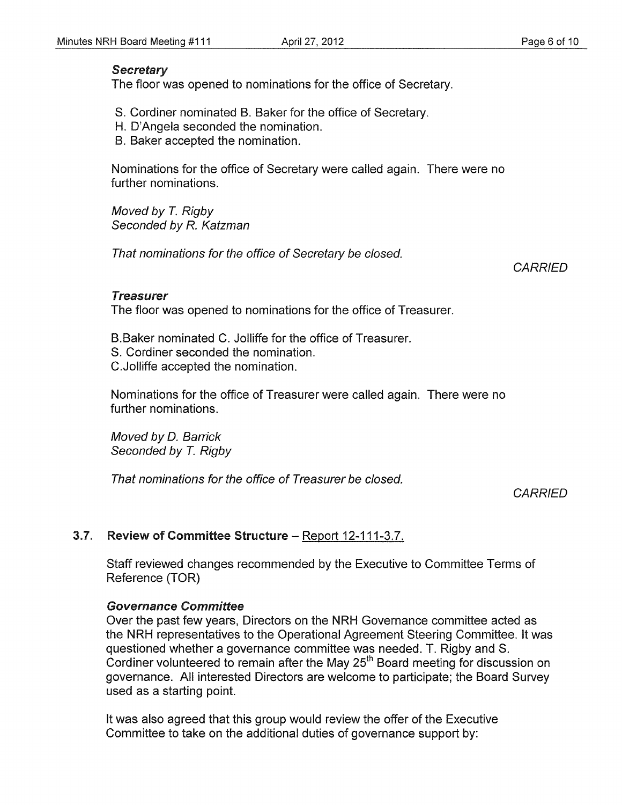## **Secretary**

The floor was opened to nominations for the office of Secretary.

- S. Cordiner nominated B. Baker for the office of Secretary.
- H. D'Angela seconded the nomination.
- B. Baker accepted the nomination.

Nominations for the office of Secretary were called again. There were no further nominations.

Moved by T. Rigby Seconded by R. Katzman

That nominations for the office of Secretary be closed.

**CARRIED** 

#### Treasurer

The floor was opened to nominations for the office of Treasurer.

B.Baker nominated C. Jolliffe for the office of Treasurer.

- S. Cordiner seconded the nomination.
- C.Jolliffe accepted the nomination.

Nominations for the office of Treasurer were called again. There were no further nominations.

Moved by D. Barrick Seconded by T. Rigby

That nominations for the office of Treasurer be closed.

**CARRIED** 

# 3.7. Review of Committee Structure - Report 12-111-3.7.

Staff reviewed changes recommended by the Executive to Committee Terms of Reference (TOR)

## Governance Committee

Over the past few years, Directors on the NRH Governance committee acted as the NRH representatives to the Operational Agreement Steering Committee. It was questioned whether a governance committee was needed. T. Rigby and S. Cordiner volunteered to remain after the May  $25<sup>th</sup>$  Board meeting for discussion on governance. All interested Directors are welcome to participate; the Board Survey used as a starting point.

It was also agreed that this group would review the offer of the Executive Committee to take on the additional duties of governance support by: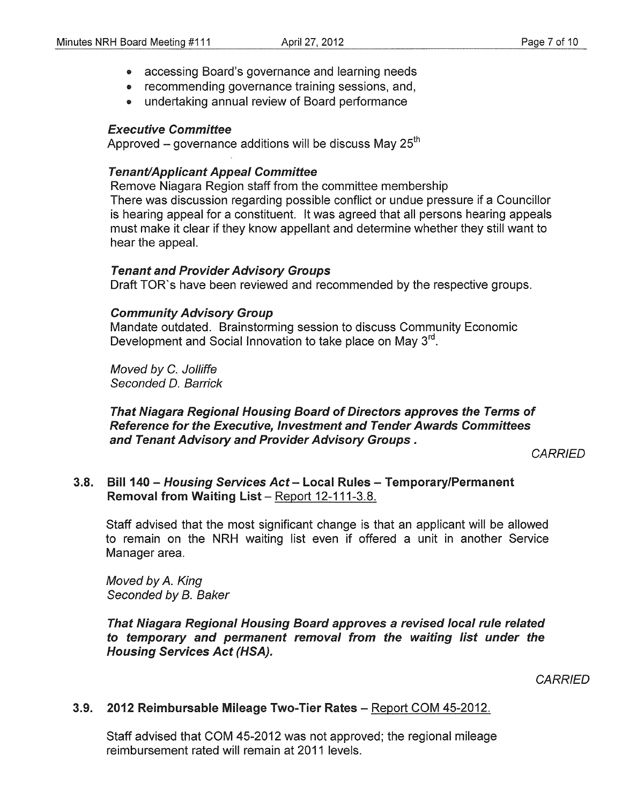- accessing Board's governance and learning needs
- recommending governance training sessions, and,
- undertaking annual review of Board performance

#### Executive Committee

Approved  $-$  governance additions will be discuss May 25<sup>th</sup>

## **Tenant/Applicant Appeal Committee**

Remove Niagara Region staff from the committee membership There was discussion regarding possible conflict or undue pressure if a Councillor is hearing appeal for a constituent. It was agreed that all persons hearing appeals must make it clear if they know appellant and determine whether they still want to hear the appeal.

#### Tenant and Provider Advisory Groups

Draft TOR's have been reviewed and recommended by the respective groups.

#### Community Advisory Group

Mandate outdated. Brainstorming session to discuss Community Economic Development and Social Innovation to take place on May 3<sup>rd</sup>.

Moved by C. Jolliffe Seconded D. Barrick

#### That Niagara Regional Housing Board of Directors approves the Terms of Reference for the Executive, Investment and Tender Awards Committees and Tenant Advisory and Provider Advisory Groups.

**CARRIED** 

## 3.8. Bill 140 - Housing Services Act - Local Rules - Temporary/Permanent Removal from Waiting List - Report 12-111-3.8.

Staff advised that the most significant change is that an applicant will be allowed to remain on the NRH waiting list even if offered a unit in another Service Manager area.

Moved by A. King Seconded by B. Baker

That Niagara Regional Housing Board approves a revised local rule related to temporary and permanent removal from the waiting list under the Housing Services Act (HSA).

**CARRIED** 

# 3.9. 2012 Reimbursable Mileage Two-Tier Rates - Report COM 45-2012.

Staff advised that COM 45-2012 was not approved; the regional mileage reimbursement rated will remain at 2011 levels.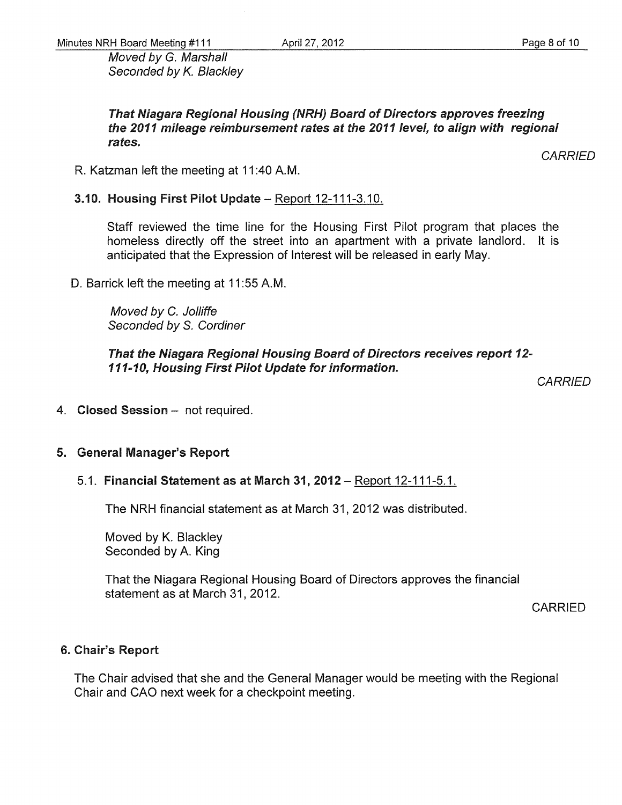Moved by G. Marshall Seconded by K. Blackley

That Niagara Regional Housing (NRH) Board of Directors approves freezing the 2011 mileage reimbursement rates at the 2011 level, to align with regional rates.

R. Katzman left the meeting at 11 :40 AM.

# 3.10. Housing First Pilot Update - Report 12-111-3.10.

Staff reviewed the time line for the Housing First Pilot program that places the homeless directly off the street into an apartment with a private landlord. It is anticipated that the Expression of Interest will be released in early May.

D. Barrick left the meeting at 11:55 A.M.

Moved by C. Jolliffe Seconded by S. Cordiner

That the Niagara Regional Housing Board of Directors receives report 12- 111-10, Housing First Pilot Update for information.

**CARRIED** 

4. Closed Session - not required.

# 5. General Manager's Report

5.1. Financial Statement as at March 31, 2012 - Report 12-111-5.1.

The NRH financial statement as at March 31,2012 was distributed.

Moved by K. Blackley Seconded by A. King

That the Niagara Regional Housing Board of Directors approves the financial statement as at March 31, 2012.

CARRIED

# 6. Chair's Report

The Chair advised that she and the General Manager would be meeting with the Regional Chair and CAO next week for a checkpoint meeting.

*CARRIED*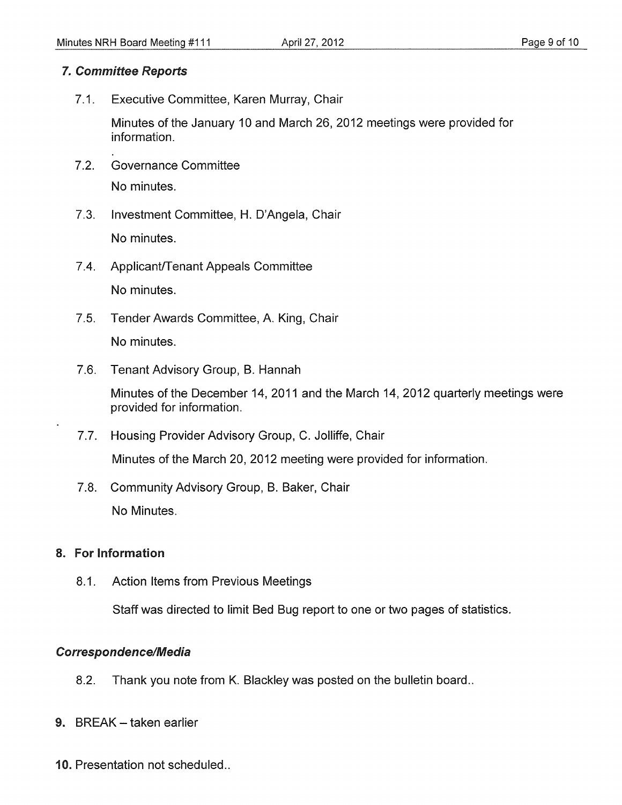## *7. Committee Reports*

7.1. Executive Committee, Karen Murray, Chair

Minutes of the January 10 and March 26,2012 meetings were provided for information.

- 7.2. Governance Committee No minutes.
- 7.3. Investment Committee, H. D'Angela, Chair No minutes.
- 7.4. Applicant/Tenant Appeals Committee No minutes.
- 7.5. Tender Awards Committee, A. King, Chair No minutes.
- 7.6. Tenant Advisory Group, B. Hannah

Minutes of the December 14, 2011 and the March 14,2012 quarterly meetings were provided for information.

- 7.7. Housing Provider Advisory Group, C. Jolliffe, Chair Minutes of the March 20, 2012 meeting were provided for information.
- 7.8. Community Advisory Group, B. Baker, Chair No Minutes.

# 8. For Information

8.1. Action Items from Previous Meetings

Staff was directed to limit Bed Bug report to one or two pages of statistics.

# *Correspondence/Medfu*

- 8.2. Thank you note from K. Blackley was posted on the bulletin board..
- 9. BREAK taken earlier
- 10. Presentation not scheduled..